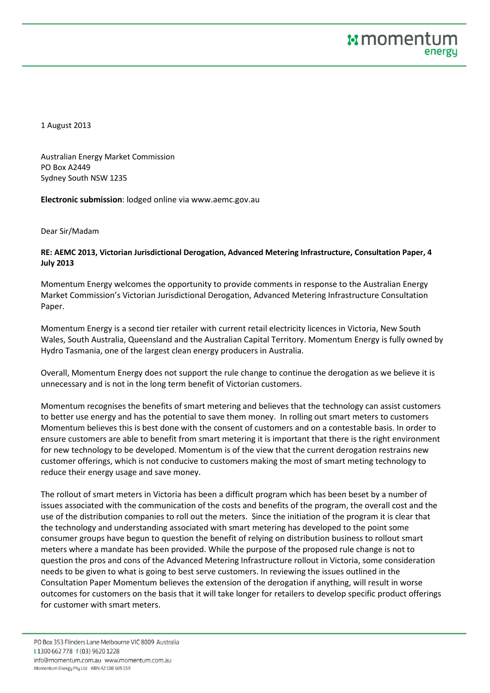1 August 2013

Australian Energy Market Commission PO Box A2449 Sydney South NSW 1235

**Electronic submission**: lodged online via www.aemc.gov.au

Dear Sir/Madam

## **RE: AEMC 2013, Victorian Jurisdictional Derogation, Advanced Metering Infrastructure, Consultation Paper, 4 July 2013**

Momentum Energy welcomes the opportunity to provide comments in response to the Australian Energy Market Commission's Victorian Jurisdictional Derogation, Advanced Metering Infrastructure Consultation Paper.

Momentum Energy is a second tier retailer with current retail electricity licences in Victoria, New South Wales, South Australia, Queensland and the Australian Capital Territory. Momentum Energy is fully owned by Hydro Tasmania, one of the largest clean energy producers in Australia.

Overall, Momentum Energy does not support the rule change to continue the derogation as we believe it is unnecessary and is not in the long term benefit of Victorian customers.

Momentum recognises the benefits of smart metering and believes that the technology can assist customers to better use energy and has the potential to save them money. In rolling out smart meters to customers Momentum believes this is best done with the consent of customers and on a contestable basis. In order to ensure customers are able to benefit from smart metering it is important that there is the right environment for new technology to be developed. Momentum is of the view that the current derogation restrains new customer offerings, which is not conducive to customers making the most of smart meting technology to reduce their energy usage and save money.

The rollout of smart meters in Victoria has been a difficult program which has been beset by a number of issues associated with the communication of the costs and benefits of the program, the overall cost and the use of the distribution companies to roll out the meters. Since the initiation of the program it is clear that the technology and understanding associated with smart metering has developed to the point some consumer groups have begun to question the benefit of relying on distribution business to rollout smart meters where a mandate has been provided. While the purpose of the proposed rule change is not to question the pros and cons of the Advanced Metering Infrastructure rollout in Victoria, some consideration needs to be given to what is going to best serve customers. In reviewing the issues outlined in the Consultation Paper Momentum believes the extension of the derogation if anything, will result in worse outcomes for customers on the basis that it will take longer for retailers to develop specific product offerings for customer with smart meters.